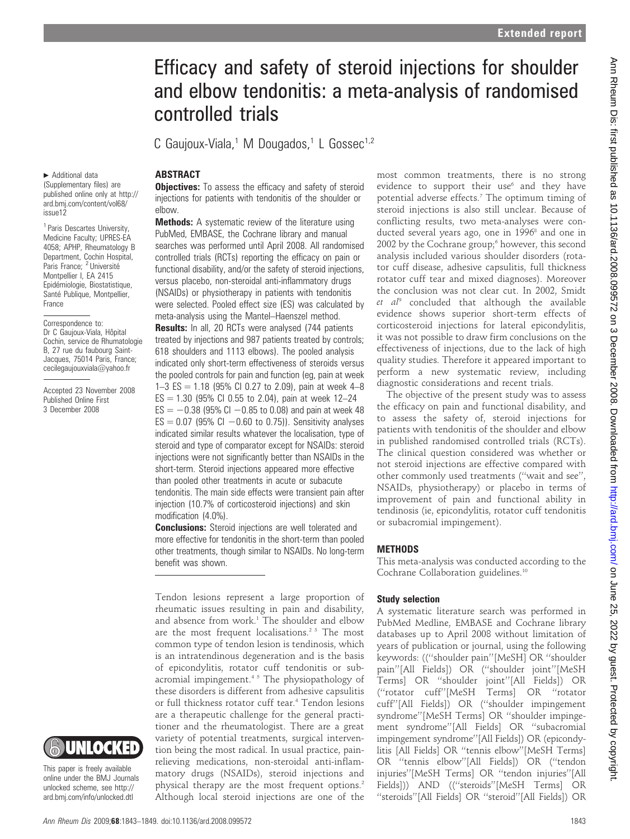# Efficacy and safety of steroid injections for shoulder and elbow tendonitis: a meta-analysis of randomised controlled trials

C Gaujoux-Viala,<sup>1</sup> M Dougados,<sup>1</sup> L Gossec<sup>1,2</sup>

## ABSTRACT

**Objectives:** To assess the efficacy and safety of steroid injections for patients with tendonitis of the shoulder or elbow.

**Methods:** A systematic review of the literature using PubMed, EMBASE, the Cochrane library and manual searches was performed until April 2008. All randomised controlled trials (RCTs) reporting the efficacy on pain or functional disability, and/or the safety of steroid injections, versus placebo, non-steroidal anti-inflammatory drugs (NSAIDs) or physiotherapy in patients with tendonitis were selected. Pooled effect size (ES) was calculated by meta-analysis using the Mantel–Haenszel method. Results: In all, 20 RCTs were analysed (744 patients treated by injections and 987 patients treated by controls; 618 shoulders and 1113 elbows). The pooled analysis indicated only short-term effectiveness of steroids versus the pooled controls for pain and function (eg, pain at week 1–3 ES = 1.18 (95% CI 0.27 to 2.09), pain at week 4–8  $ES = 1.30$  (95% CI 0.55 to 2.04), pain at week 12-24  $ES = -0.38$  (95% CI -0.85 to 0.08) and pain at week 48  $ES = 0.07$  (95% CI  $-0.60$  to 0.75)). Sensitivity analyses indicated similar results whatever the localisation, type of steroid and type of comparator except for NSAIDs: steroid injections were not significantly better than NSAIDs in the short-term. Steroid injections appeared more effective than pooled other treatments in acute or subacute tendonitis. The main side effects were transient pain after injection (10.7% of corticosteroid injections) and skin modification (4.0%).

**Conclusions:** Steroid injections are well tolerated and more effective for tendonitis in the short-term than pooled other treatments, though similar to NSAIDs. No long-term benefit was shown.

Tendon lesions represent a large proportion of rheumatic issues resulting in pain and disability, and absence from work.<sup>1</sup> The shoulder and elbow are the most frequent localisations.<sup>2 3</sup> The most common type of tendon lesion is tendinosis, which is an intratendinous degeneration and is the basis of epicondylitis, rotator cuff tendonitis or subacromial impingement.<sup>45</sup> The physiopathology of these disorders is different from adhesive capsulitis or full thickness rotator cuff tear.<sup>4</sup> Tendon lesions are a therapeutic challenge for the general practitioner and the rheumatologist. There are a great variety of potential treatments, surgical intervention being the most radical. In usual practice, painrelieving medications, non-steroidal anti-inflammatory drugs (NSAIDs), steroid injections and physical therapy are the most frequent options.<sup>2</sup> Although local steroid injections are one of the

most common treatments, there is no strong evidence to support their use $6$  and they have potential adverse effects.7 The optimum timing of steroid injections is also still unclear. Because of conflicting results, two meta-analyses were conducted several years ago, one in 1996<sup>8</sup> and one in 2002 by the Cochrane group;<sup>6</sup> however, this second analysis included various shoulder disorders (rotator cuff disease, adhesive capsulitis, full thickness rotator cuff tear and mixed diagnoses). Moreover the conclusion was not clear cut. In 2002, Smidt  $et$   $al<sup>9</sup>$  concluded that although the available evidence shows superior short-term effects of corticosteroid injections for lateral epicondylitis, it was not possible to draw firm conclusions on the effectiveness of injections, due to the lack of high quality studies. Therefore it appeared important to perform a new systematic review, including diagnostic considerations and recent trials.

The objective of the present study was to assess the efficacy on pain and functional disability, and to assess the safety of, steroid injections for patients with tendonitis of the shoulder and elbow in published randomised controlled trials (RCTs). The clinical question considered was whether or not steroid injections are effective compared with other commonly used treatments (''wait and see'', NSAIDs, physiotherapy) or placebo in terms of improvement of pain and functional ability in tendinosis (ie, epicondylitis, rotator cuff tendonitis or subacromial impingement).

# **METHODS**

This meta-analysis was conducted according to the Cochrane Collaboration guidelines.<sup>10</sup>

# Study selection

A systematic literature search was performed in PubMed Medline, EMBASE and Cochrane library databases up to April 2008 without limitation of years of publication or journal, using the following keywords: ((''shoulder pain''[MeSH] OR ''shoulder pain''[All Fields]) OR (''shoulder joint''[MeSH Terms] OR ''shoulder joint''[All Fields]) OR (''rotator cuff''[MeSH Terms] OR ''rotator cuff''[All Fields]) OR (''shoulder impingement syndrome''[MeSH Terms] OR ''shoulder impingement syndrome''[All Fields] OR ''subacromial impingement syndrome''[All Fields]) OR (epicondylitis [All Fields] OR ''tennis elbow''[MeSH Terms] OR ''tennis elbow''[All Fields]) OR (''tendon injuries''[MeSH Terms] OR ''tendon injuries''[All Fields])) AND ((''steroids''[MeSH Terms] OR ''steroids''[All Fields] OR ''steroid''[All Fields]) OR

 $\blacktriangleright$  Additional data (Supplementary files) are published online only at http:// ard.bmj.com/content/vol68/ issue12

<sup>1</sup> Paris Descartes University, Medicine Faculty; UPRES-EA 4058; APHP, Rheumatology B Department, Cochin Hospital, Paris France: <sup>2</sup> Université Montpellier I, EA 2415 Epidémiologie, Biostatistique, Santé Publique, Montpellier, France

Correspondence to: Dr C Gaujoux-Viala, Hôpital Cochin, service de Rhumatologie B, 27 rue du faubourg Saint-Jacques, 75014 Paris, France; cecilegaujouxviala@yahoo.fr

Accepted 23 November 2008 Published Online First 3 December 2008



This paper is freely available online under the BMJ Journals unlocked scheme, see http:// ard.bmj.com/info/unlocked.dtl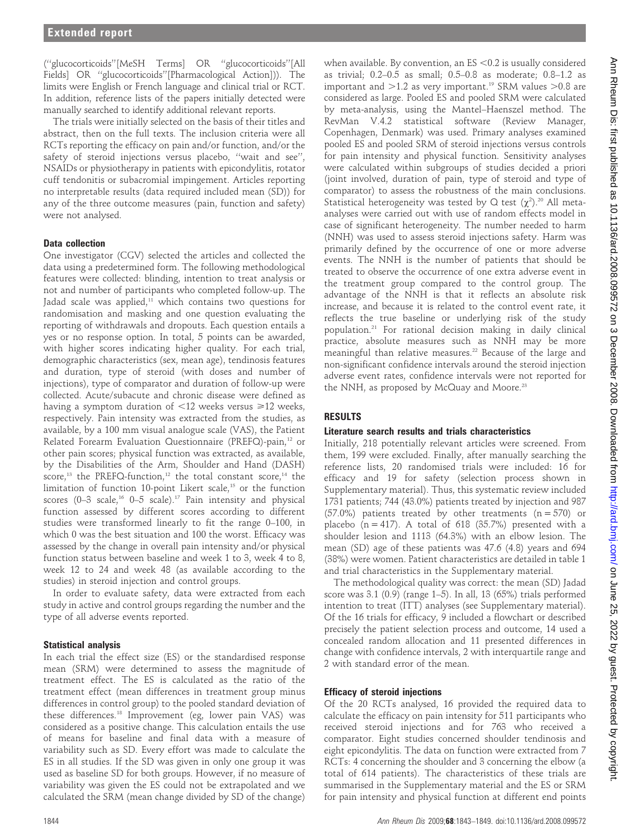(''glucocorticoids''[MeSH Terms] OR ''glucocorticoids''[All Fields] OR ''glucocorticoids''[Pharmacological Action])). The limits were English or French language and clinical trial or RCT. In addition, reference lists of the papers initially detected were manually searched to identify additional relevant reports.

The trials were initially selected on the basis of their titles and abstract, then on the full texts. The inclusion criteria were all RCTs reporting the efficacy on pain and/or function, and/or the safety of steroid injections versus placebo, ''wait and see'', NSAIDs or physiotherapy in patients with epicondylitis, rotator cuff tendonitis or subacromial impingement. Articles reporting no interpretable results (data required included mean (SD)) for any of the three outcome measures (pain, function and safety) were not analysed.

## Data collection

One investigator (CGV) selected the articles and collected the data using a predetermined form. The following methodological features were collected: blinding, intention to treat analysis or not and number of participants who completed follow-up. The Jadad scale was applied, $11$  which contains two questions for randomisation and masking and one question evaluating the reporting of withdrawals and dropouts. Each question entails a yes or no response option. In total, 5 points can be awarded, with higher scores indicating higher quality. For each trial, demographic characteristics (sex, mean age), tendinosis features and duration, type of steroid (with doses and number of injections), type of comparator and duration of follow-up were collected. Acute/subacute and chronic disease were defined as having a symptom duration of  $<$ 12 weeks versus  $\ge$ 12 weeks, respectively. Pain intensity was extracted from the studies, as available, by a 100 mm visual analogue scale (VAS), the Patient Related Forearm Evaluation Questionnaire (PREFQ)-pain,<sup>12</sup> or other pain scores; physical function was extracted, as available, by the Disabilities of the Arm, Shoulder and Hand (DASH) score,<sup>13</sup> the PREFQ-function,<sup>12</sup> the total constant score,<sup>14</sup> the limitation of function 10-point Likert scale,<sup>15</sup> or the function scores (0-3 scale, $16$  0-5 scale).<sup>17</sup> Pain intensity and physical function assessed by different scores according to different studies were transformed linearly to fit the range 0–100, in which 0 was the best situation and 100 the worst. Efficacy was assessed by the change in overall pain intensity and/or physical function status between baseline and week 1 to 3, week 4 to 8, week 12 to 24 and week 48 (as available according to the studies) in steroid injection and control groups.

In order to evaluate safety, data were extracted from each study in active and control groups regarding the number and the type of all adverse events reported.

#### Statistical analysis

In each trial the effect size (ES) or the standardised response mean (SRM) were determined to assess the magnitude of treatment effect. The ES is calculated as the ratio of the treatment effect (mean differences in treatment group minus differences in control group) to the pooled standard deviation of these differences.18 Improvement (eg, lower pain VAS) was considered as a positive change. This calculation entails the use of means for baseline and final data with a measure of variability such as SD. Every effort was made to calculate the ES in all studies. If the SD was given in only one group it was used as baseline SD for both groups. However, if no measure of variability was given the ES could not be extrapolated and we calculated the SRM (mean change divided by SD of the change)

when available. By convention, an  $ES < 0.2$  is usually considered as trivial; 0.2–0.5 as small; 0.5–0.8 as moderate; 0.8–1.2 as important and  $>1.2$  as very important.<sup>19</sup> SRM values  $>0.8$  are considered as large. Pooled ES and pooled SRM were calculated by meta-analysis, using the Mantel–Haenszel method. The RevMan V.4.2 statistical software (Review Manager, Copenhagen, Denmark) was used. Primary analyses examined pooled ES and pooled SRM of steroid injections versus controls for pain intensity and physical function. Sensitivity analyses were calculated within subgroups of studies decided a priori (joint involved, duration of pain, type of steroid and type of comparator) to assess the robustness of the main conclusions. Statistical heterogeneity was tested by Q test  $(\chi^2)$ .<sup>20</sup> All metaanalyses were carried out with use of random effects model in case of significant heterogeneity. The number needed to harm (NNH) was used to assess steroid injections safety. Harm was primarily defined by the occurrence of one or more adverse events. The NNH is the number of patients that should be treated to observe the occurrence of one extra adverse event in the treatment group compared to the control group. The advantage of the NNH is that it reflects an absolute risk increase, and because it is related to the control event rate, it reflects the true baseline or underlying risk of the study population.21 For rational decision making in daily clinical practice, absolute measures such as NNH may be more meaningful than relative measures.<sup>22</sup> Because of the large and non-significant confidence intervals around the steroid injection adverse event rates, confidence intervals were not reported for the NNH, as proposed by McQuay and Moore.<sup>23</sup>

## RESULTS

#### Literature search results and trials characteristics

Initially, 218 potentially relevant articles were screened. From them, 199 were excluded. Finally, after manually searching the reference lists, 20 randomised trials were included: 16 for efficacy and 19 for safety (selection process shown in Supplementary material). Thus, this systematic review included 1731 patients; 744 (43.0%) patients treated by injection and 987  $(57.0\%)$  patients treated by other treatments  $(n = 570)$  or placebo ( $n = 417$ ). A total of 618 (35.7%) presented with a shoulder lesion and 1113 (64.3%) with an elbow lesion. The mean (SD) age of these patients was 47.6 (4.8) years and 694 (38%) were women. Patient characteristics are detailed in table 1 and trial characteristics in the Supplementary material.

The methodological quality was correct: the mean (SD) Jadad score was 3.1 (0.9) (range 1–5). In all, 13 (65%) trials performed intention to treat (ITT) analyses (see Supplementary material). Of the 16 trials for efficacy, 9 included a flowchart or described precisely the patient selection process and outcome, 14 used a concealed random allocation and 11 presented differences in change with confidence intervals, 2 with interquartile range and 2 with standard error of the mean.

#### Efficacy of steroid injections

Of the 20 RCTs analysed, 16 provided the required data to calculate the efficacy on pain intensity for 511 participants who received steroid injections and for 763 who received a comparator. Eight studies concerned shoulder tendinosis and eight epicondylitis. The data on function were extracted from 7 RCTs: 4 concerning the shoulder and 3 concerning the elbow (a total of 614 patients). The characteristics of these trials are summarised in the Supplementary material and the ES or SRM for pain intensity and physical function at different end points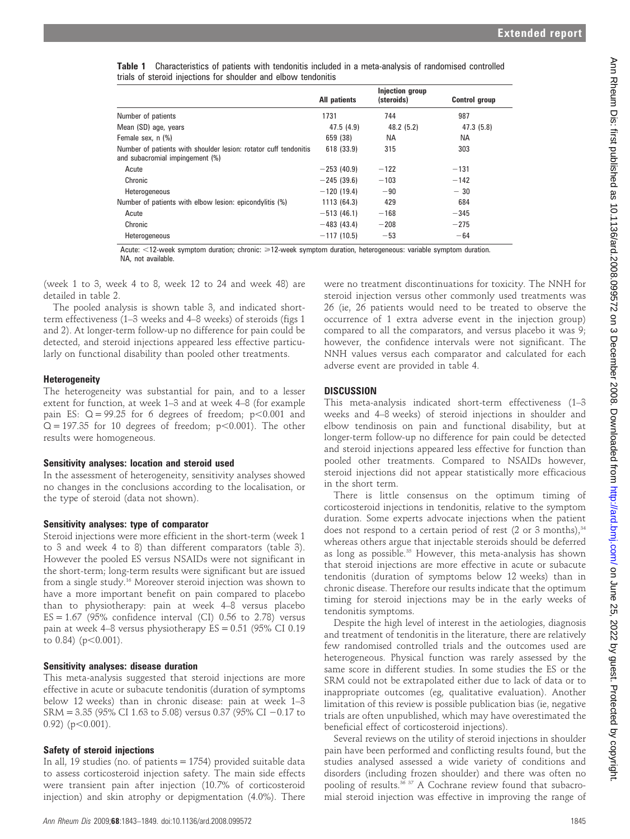| Table 1 Characteristics of patients with tendonitis included in a meta-analysis of randomised controlled |  |  |  |
|----------------------------------------------------------------------------------------------------------|--|--|--|
| trials of steroid injections for shoulder and elbow tendonitis                                           |  |  |  |

|                                                                                                     | <b>All patients</b> | Injection group<br>(steroids) | <b>Control group</b> |
|-----------------------------------------------------------------------------------------------------|---------------------|-------------------------------|----------------------|
| Number of patients                                                                                  | 1731                | 744                           | 987                  |
| Mean (SD) age, years                                                                                | 47.5(4.9)           | 48.2(5.2)                     | 47.3(5.8)            |
| Female sex, n (%)                                                                                   | 659 (38)            | ΝA                            | <b>NA</b>            |
| Number of patients with shoulder lesion: rotator cuff tendonitis<br>and subacromial impingement (%) | 618 (33.9)          | 315                           | 303                  |
| Acute                                                                                               | $-253(40.9)$        | $-122$                        | $-131$               |
| Chronic                                                                                             | $-245(39.6)$        | $-103$                        | $-142$               |
| Heterogeneous                                                                                       | $-120(19.4)$        | $-90$                         | $-30$                |
| Number of patients with elbow lesion: epicondylitis (%)                                             | 1113 (64.3)         | 429                           | 684                  |
| Acute                                                                                               | $-513(46.1)$        | $-168$                        | $-345$               |
| Chronic                                                                                             | $-483(43.4)$        | $-208$                        | $-275$               |
| Heterogeneous                                                                                       | $-117(10.5)$        | $-53$                         | $-64$                |

Acute: <12-week symptom duration; chronic: ≥12-week symptom duration, heterogeneous: variable symptom duration. NA, not available.

(week 1 to 3, week 4 to 8, week 12 to 24 and week 48) are detailed in table 2.

The pooled analysis is shown table 3, and indicated shortterm effectiveness (1–3 weeks and 4–8 weeks) of steroids (figs 1 and 2). At longer-term follow-up no difference for pain could be detected, and steroid injections appeared less effective particularly on functional disability than pooled other treatments.

#### Heterogeneity

The heterogeneity was substantial for pain, and to a lesser extent for function, at week 1–3 and at week 4–8 (for example pain ES:  $Q = 99.25$  for 6 degrees of freedom;  $p < 0.001$  and  $Q = 197.35$  for 10 degrees of freedom;  $p < 0.001$ ). The other results were homogeneous.

#### Sensitivity analyses: location and steroid used

In the assessment of heterogeneity, sensitivity analyses showed no changes in the conclusions according to the localisation, or the type of steroid (data not shown).

# Sensitivity analyses: type of comparator

Steroid injections were more efficient in the short-term (week 1 to 3 and week 4 to 8) than different comparators (table 3). However the pooled ES versus NSAIDs were not significant in the short-term; long-term results were significant but are issued from a single study.16 Moreover steroid injection was shown to have a more important benefit on pain compared to placebo than to physiotherapy: pain at week 4–8 versus placebo  $ES = 1.67$  (95% confidence interval (CI) 0.56 to 2.78) versus pain at week 4–8 versus physiotherapy  $ES = 0.51$  (95% CI 0.19) to  $0.84$ ) ( $p<0.001$ ).

# Sensitivity analyses: disease duration

This meta-analysis suggested that steroid injections are more effective in acute or subacute tendonitis (duration of symptoms below 12 weeks) than in chronic disease: pain at week 1–3  $SRM = 3.35$  (95% CI 1.63 to 5.08) versus 0.37 (95% CI -0.17 to  $0.92)$  (p $<0.001$ ).

# Safety of steroid injections

In all, 19 studies (no. of patients = 1754) provided suitable data to assess corticosteroid injection safety. The main side effects were transient pain after injection (10.7% of corticosteroid injection) and skin atrophy or depigmentation (4.0%). There

were no treatment discontinuations for toxicity. The NNH for steroid injection versus other commonly used treatments was 26 (ie, 26 patients would need to be treated to observe the occurrence of 1 extra adverse event in the injection group) compared to all the comparators, and versus placebo it was 9; however, the confidence intervals were not significant. The NNH values versus each comparator and calculated for each adverse event are provided in table 4.

# **DISCUSSION**

This meta-analysis indicated short-term effectiveness (1–3 weeks and 4–8 weeks) of steroid injections in shoulder and elbow tendinosis on pain and functional disability, but at longer-term follow-up no difference for pain could be detected and steroid injections appeared less effective for function than pooled other treatments. Compared to NSAIDs however, steroid injections did not appear statistically more efficacious in the short term.

There is little consensus on the optimum timing of corticosteroid injections in tendonitis, relative to the symptom duration. Some experts advocate injections when the patient does not respond to a certain period of rest  $(2 \text{ or } 3 \text{ months})$ ,<sup>34</sup> whereas others argue that injectable steroids should be deferred as long as possible.<sup>35</sup> However, this meta-analysis has shown that steroid injections are more effective in acute or subacute tendonitis (duration of symptoms below 12 weeks) than in chronic disease. Therefore our results indicate that the optimum timing for steroid injections may be in the early weeks of tendonitis symptoms.

Despite the high level of interest in the aetiologies, diagnosis and treatment of tendonitis in the literature, there are relatively few randomised controlled trials and the outcomes used are heterogeneous. Physical function was rarely assessed by the same score in different studies. In some studies the ES or the SRM could not be extrapolated either due to lack of data or to inappropriate outcomes (eg, qualitative evaluation). Another limitation of this review is possible publication bias (ie, negative trials are often unpublished, which may have overestimated the beneficial effect of corticosteroid injections).

Several reviews on the utility of steroid injections in shoulder pain have been performed and conflicting results found, but the studies analysed assessed a wide variety of conditions and disorders (including frozen shoulder) and there was often no pooling of results.<sup>36 37</sup> A Cochrane review found that subacromial steroid injection was effective in improving the range of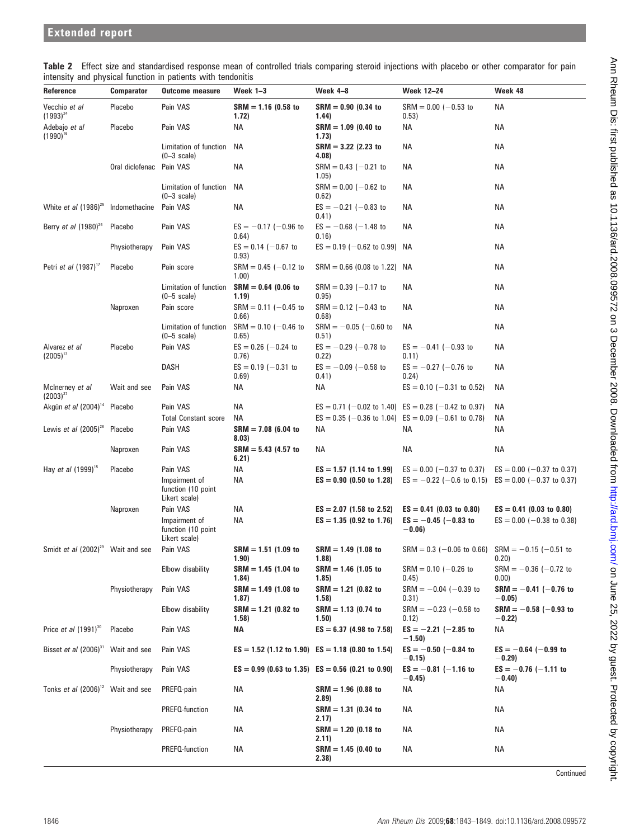| $\overline{\phantom{a}}$<br>$\mathbf{r}$<br>Reference | Comparator      | <b>Outcome measure</b>                                | Week 1–3                        | Week 4-8                                              | <b>Week 12-24</b>                                                                      | Week 48                             |
|-------------------------------------------------------|-----------------|-------------------------------------------------------|---------------------------------|-------------------------------------------------------|----------------------------------------------------------------------------------------|-------------------------------------|
| Vecchio et al<br>$(1993)^{24}$                        | Placebo         | Pain VAS                                              | $SRM = 1.16$ (0.58 to<br>(1.72) | $SRM = 0.90$ (0.34 to<br>1.44)                        | $SRM = 0.00$ (-0.53 to<br>0.53)                                                        | ΝA                                  |
| Adebajo et al<br>$(1990)^{16}$                        | Placebo         | Pain VAS                                              | ΝA                              | $SRM = 1.09$ (0.40 to<br>(1.73)                       | ΝA                                                                                     | ΝA                                  |
|                                                       |                 | Limitation of function<br>$(0-3 \text{ scale})$       | ΝA                              | $SRM = 3.22$ (2.23 to<br>4.08)                        | ΝA                                                                                     | ΝA                                  |
|                                                       | Oral diclofenac | Pain VAS                                              | ΝA                              | $SRM = 0.43 (-0.21)$<br>1.05)                         | ΝA                                                                                     | ΝA                                  |
|                                                       |                 | Limitation of function<br>$(0-3 \text{ scale})$       | ΝA                              | $SRM = 0.00$ (-0.62 to<br>0.62)                       | ΝA                                                                                     | ΝA                                  |
| White <i>et al</i> $(1986)^{25}$                      | Indomethacine   | Pain VAS                                              | ΝA                              | $ES = -0.21$ (-0.83 to<br>0.41)                       | ΝA                                                                                     | ΝA                                  |
| Berry et al (1980) <sup>20</sup>                      | Placebo         | Pain VAS                                              | $ES = -0.17$ (-0.96 to<br>0.64) | $ES = -0.68$ (-1.48 to<br>0.16)                       | ΝA                                                                                     | ΝA                                  |
|                                                       | Physiotherapy   | Pain VAS                                              | $ES = 0.14 (-0.67)$<br>0.93)    | $ES = 0.19 (-0.62 to 0.99)$                           | NA                                                                                     | NА                                  |
| Petri <i>et al</i> (1987) <sup>17</sup>               | Placebo         | Pain score                                            | $SRM = 0.45$ (-0.12 to<br>1.00) | $SRM = 0.66$ (0.08 to 1.22) NA                        |                                                                                        | ΝA                                  |
|                                                       |                 | Limitation of function<br>$(0-5 \text{ scale})$       | $SRM = 0.64$ (0.06 to<br>(1.19) | $SRM = 0.39$ (-0.17 to<br>0.95)                       | ΝA                                                                                     | NА                                  |
|                                                       | Naproxen        | Pain score                                            | $SRM = 0.11$ (-0.45 to<br>0.66) | $SRM = 0.12$ (-0.43 to<br>0.68)                       | ΝA                                                                                     | ΝA                                  |
|                                                       |                 | Limitation of function<br>$(0-5 \text{ scale})$       | $SRM = 0.10$ (-0.46 to<br>0.65) | $SRM = -0.05$ (-0.60 to<br>0.51)                      | NА                                                                                     | ΝA                                  |
| Alvarez et al<br>$(2005)^{13}$                        | Placebo         | Pain VAS                                              | $ES = 0.26$ (-0.24 to<br>0.76)  | $ES = -0.29$ (-0.78 to<br>0.22)                       | $ES = -0.41$ (-0.93 to<br>0.11)                                                        | NА                                  |
|                                                       |                 | DASH                                                  | $ES = 0.19 (-0.31)$<br>0.69)    | $ES = -0.09$ (-0.58 to<br>0.41)                       | $ES = -0.27$ (-0.76 to<br>0.24)                                                        | ΝA                                  |
| McInerney et al<br>$(2003)^{27}$                      | Wait and see    | Pain VAS                                              | ΝA                              | NА                                                    | $ES = 0.10 (-0.31 to 0.52)$                                                            | ΝA                                  |
| Akgün et al (2004) <sup>14</sup>                      | Placebo         | Pain VAS<br><b>Total Constant score</b>               | ΝA<br>ΝA                        | $ES = 0.35$ (-0.36 to 1.04)                           | $ES = 0.71$ (-0.02 to 1.40) $ES = 0.28$ (-0.42 to 0.97)<br>$ES = 0.09$ (-0.61 to 0.78) | NА<br>ΝA                            |
| Lewis <i>et al</i> $(2005)^{28}$                      | Placebo         | Pain VAS                                              | $SRM = 7.08$ (6.04 to<br>8.03)  | NА                                                    | ΝA                                                                                     | ΝA                                  |
|                                                       | Naproxen        | Pain VAS                                              | $SRM = 5.43$ (4.57 to<br>6.21)  | ΝA                                                    | ΝA                                                                                     | ΝA                                  |
| Hay <i>et al</i> (1999) <sup>15</sup>                 | Placebo         | Pain VAS                                              | ΝA                              | $ES = 1.57$ (1.14 to 1.99)                            | $ES = 0.00 (-0.37 \text{ to } 0.37)$                                                   | $ES = 0.00$ (-0.37 to 0.37)         |
|                                                       |                 | Impairment of<br>function (10 point)<br>Likert scale) | ΝA                              | $ES = 0.90$ (0.50 to 1.28)                            | $ES = -0.22$ (-0.6 to 0.15)                                                            | $ES = 0.00$ (-0.37 to 0.37)         |
|                                                       | Naproxen        | Pain VAS                                              | ΝA                              | $ES = 2.07$ (1.58 to 2.52)                            | $ES = 0.41$ (0.03 to 0.80)                                                             | $ES = 0.41$ (0.03 to 0.80)          |
|                                                       |                 | Impairment of<br>function (10 point<br>Likert scale)  | ΝA                              | $ES = 1.35$ (0.92 to 1.76)                            | $ES = -0.45$ (-0.83 to<br>$-0.06)$                                                     | $ES = 0.00$ (-0.38 to 0.38)         |
| Smidt et al (2002) <sup>29</sup> Wait and see         |                 | Pain VAS                                              | $SRM = 1.51$ (1.09 to<br>1.90)  | $SRM = 1.49$ (1.08 to<br>(1.88)                       | $SRM = 0.3$ (-0.06 to 0.66) $SRM = -0.15$ (-0.51 to                                    | 0.20)                               |
|                                                       |                 | Elbow disability                                      | $SRM = 1.45$ (1.04 to<br>1.84)  | $SRM = 1.46$ (1.05 to<br>(1.85)                       | $SRM = 0.10$ (-0.26 to<br>0.45)                                                        | $SRM = -0.36$ (-0.72 to<br>0.00)    |
|                                                       | Physiotherapy   | Pain VAS                                              | $SRM = 1.49$ (1.08 to<br>(1.87) | $SRM = 1.21$ (0.82 to<br>(1.58)                       | $SRM = -0.04 (-0.39)$<br>0.31)                                                         | $SRM = -0.41$ (-0.76 to<br>$-0.05)$ |
|                                                       |                 | Elbow disability                                      | $SRM = 1.21$ (0.82 to<br>(1.58) | $SRM = 1.13$ (0.74 to<br>(1.50)                       | $SRM = -0.23$ (-0.58 to<br>0.12)                                                       | SRM = $-0.58$ (-0.93 to<br>$-0.22$  |
| Price et al (1991) <sup>30</sup>                      | Placebo         | Pain VAS                                              | ΝA                              | $ES = 6.37$ (4.98 to 7.58)                            | $ES = -2.21$ (-2.85 to<br>$-1.50)$                                                     | ΝA                                  |
| Bisset et al (2006) <sup>31</sup>                     | Wait and see    | Pain VAS                                              |                                 | $ES = 1.52$ (1.12 to 1.90) $ES = 1.18$ (0.80 to 1.54) | $ES = -0.50$ (-0.84 to<br>$-0.15)$                                                     | $ES = -0.64 (-0.99)$<br>$-0.29)$    |
|                                                       | Physiotherapy   | Pain VAS                                              |                                 | $ES = 0.99$ (0.63 to 1.35) $ES = 0.56$ (0.21 to 0.90) | $ES = -0.81$ (-1.16 to<br>$-0.45)$                                                     | $ES = -0.76$ (-1.11 to<br>$-0.40$   |
| Tonks <i>et al</i> $(2006)^{12}$                      | Wait and see    | PREFQ-pain                                            | ΝA                              | $SRM = 1.96$ (0.88 to<br>2.89)                        | ΝA                                                                                     | ΝA                                  |
|                                                       |                 | PREFQ-function                                        | ΝA                              | $SRM = 1.31$ (0.34 to<br>2.17)                        | ΝA                                                                                     | ΝA                                  |
|                                                       | Physiotherapy   | PREFQ-pain                                            | ΝA                              | $SRM = 1.20$ (0.18 to<br>2.11)                        | ΝA                                                                                     | ΝA                                  |
|                                                       |                 | PREFQ-function                                        | ΝA                              | $SRM = 1.45$ (0.40 to<br>2.38)                        | ΝA                                                                                     | ΝA                                  |

Table 2 Effect size and standardised response mean of controlled trials comparing steroid injections with placebo or other comparator for pain intensity and physical function in patients with tendonitis

**Continued**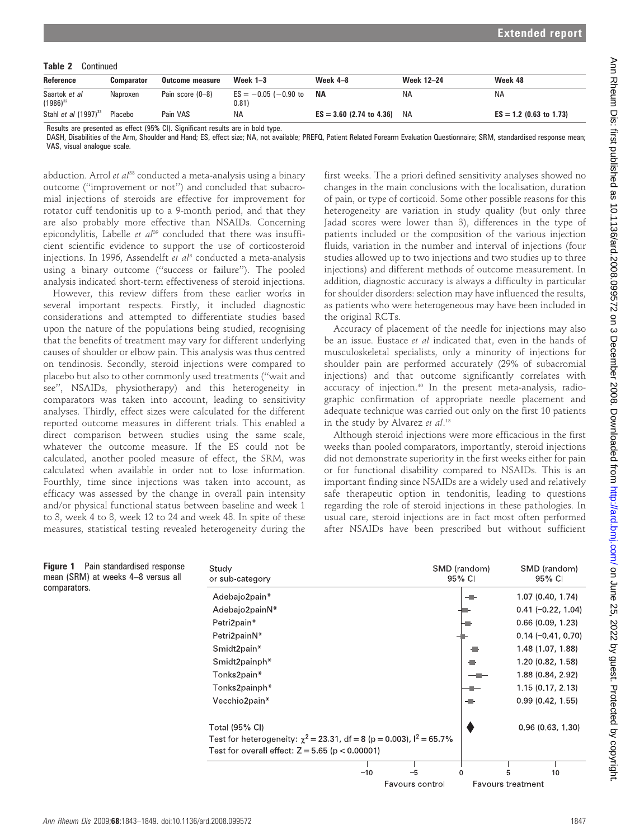Table 2 Continued

| ---------<br>---------------            |                   |                  |                                 |                            |                   |                           |
|-----------------------------------------|-------------------|------------------|---------------------------------|----------------------------|-------------------|---------------------------|
| Reference                               | <b>Comparator</b> | Outcome measure  | Week $1-3$                      | Week 4–8                   | <b>Week 12-24</b> | Week 48                   |
| Saartok et al<br>$(1986)^{32}$          | Naproxen          | Pain score (0-8) | $ES = -0.05$ (-0.90 to<br>0.81) | NA                         | <b>NA</b>         | <b>NA</b>                 |
| Stahl <i>et al</i> (1997) <sup>33</sup> | Placebo           | Pain VAS         | <b>NA</b>                       | $ES = 3.60$ (2.74 to 4.36) | NA                | $ES = 1.2$ (0.63 to 1.73) |

Results are presented as effect (95% CI). Significant results are in bold type.

DASH, Disabilities of the Arm, Shoulder and Hand; ES, effect size; NA, not available; PREFQ, Patient Related Forearm Evaluation Questionnaire; SRM, standardised response mean; VAS, visual analogue scale.

abduction. Arrol et  $a^{138}$  conducted a meta-analysis using a binary outcome (''improvement or not'') and concluded that subacromial injections of steroids are effective for improvement for rotator cuff tendonitis up to a 9-month period, and that they are also probably more effective than NSAIDs. Concerning epicondylitis, Labelle et  $a^{39}$  concluded that there was insufficient scientific evidence to support the use of corticosteroid injections. In 1996, Assendelft et  $al^8$  conducted a meta-analysis using a binary outcome (''success or failure''). The pooled analysis indicated short-term effectiveness of steroid injections.

However, this review differs from these earlier works in several important respects. Firstly, it included diagnostic considerations and attempted to differentiate studies based upon the nature of the populations being studied, recognising that the benefits of treatment may vary for different underlying causes of shoulder or elbow pain. This analysis was thus centred on tendinosis. Secondly, steroid injections were compared to placebo but also to other commonly used treatments (''wait and see'', NSAIDs, physiotherapy) and this heterogeneity in comparators was taken into account, leading to sensitivity analyses. Thirdly, effect sizes were calculated for the different reported outcome measures in different trials. This enabled a direct comparison between studies using the same scale, whatever the outcome measure. If the ES could not be calculated, another pooled measure of effect, the SRM, was calculated when available in order not to lose information. Fourthly, time since injections was taken into account, as efficacy was assessed by the change in overall pain intensity and/or physical functional status between baseline and week 1 to 3, week 4 to 8, week 12 to 24 and week 48. In spite of these measures, statistical testing revealed heterogeneity during the

first weeks. The a priori defined sensitivity analyses showed no changes in the main conclusions with the localisation, duration of pain, or type of corticoid. Some other possible reasons for this heterogeneity are variation in study quality (but only three Jadad scores were lower than 3), differences in the type of patients included or the composition of the various injection fluids, variation in the number and interval of injections (four studies allowed up to two injections and two studies up to three injections) and different methods of outcome measurement. In addition, diagnostic accuracy is always a difficulty in particular for shoulder disorders: selection may have influenced the results, as patients who were heterogeneous may have been included in the original RCTs.

Accuracy of placement of the needle for injections may also be an issue. Eustace et al indicated that, even in the hands of musculoskeletal specialists, only a minority of injections for shoulder pain are performed accurately (29% of subacromial injections) and that outcome significantly correlates with accuracy of injection.<sup>40</sup> In the present meta-analysis, radiographic confirmation of appropriate needle placement and adequate technique was carried out only on the first 10 patients in the study by Alvarez et al.<sup>13</sup>

Although steroid injections were more efficacious in the first weeks than pooled comparators, importantly, steroid injections did not demonstrate superiority in the first weeks either for pain or for functional disability compared to NSAIDs. This is an important finding since NSAIDs are a widely used and relatively safe therapeutic option in tendonitis, leading to questions regarding the role of steroid injections in these pathologies. In usual care, steroid injections are in fact most often performed after NSAIDs have been prescribed but without sufficient

| Pain standardised response<br>Figure 1<br>mean (SRM) at weeks 4-8 versus all | Study<br>or sub-category                                                    |                 | SMD (random)<br>95% CI | SMD (random)<br>95% CI |
|------------------------------------------------------------------------------|-----------------------------------------------------------------------------|-----------------|------------------------|------------------------|
| comparators.                                                                 | Adebajo2pain*                                                               |                 |                        | 1.07 (0.40, 1.74)      |
|                                                                              | Adebajo2painN*                                                              |                 |                        | $0.41 (-0.22, 1.04)$   |
|                                                                              | Petri2pain*                                                                 |                 |                        | 0.66(0.09, 1.23)       |
|                                                                              | Petri2painN*                                                                |                 |                        | $0.14 (-0.41, 0.70)$   |
|                                                                              | Smidt2pain*                                                                 |                 |                        | 1.48 (1.07, 1.88)      |
|                                                                              | Smidt2painph*                                                               |                 |                        | 1.20 (0.82, 1.58)      |
|                                                                              | Tonks2pain*                                                                 |                 |                        | 1.88 (0.84, 2.92)      |
|                                                                              | Tonks2painph*                                                               |                 |                        | 1.15 (0.17, 2.13)      |
|                                                                              | Vecchio2pain*                                                               |                 |                        | 0.99(0.42, 1.55)       |
|                                                                              | <b>Total (95% CI)</b>                                                       |                 |                        | 0.96(0.63, 1.30)       |
|                                                                              | Test for heterogeneity: $\chi^2$ = 23.31, df = 8 (p = 0.003), $I^2$ = 65.7% |                 |                        |                        |
|                                                                              | Test for overall effect: $Z = 5.65$ (p < 0.00001)                           |                 |                        |                        |
|                                                                              | $-10$                                                                       | $-5$            |                        | 10<br>5                |
|                                                                              |                                                                             | Favours control |                        | Favours treatment      |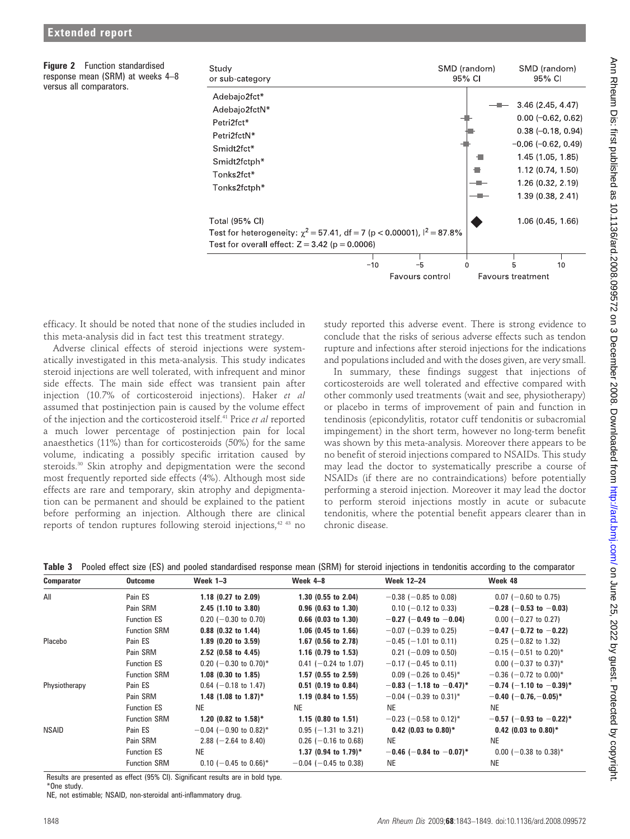Figure 2 Function standardised response mean (SRM) at weeks 4–8 versus all comparators.



efficacy. It should be noted that none of the studies included in this meta-analysis did in fact test this treatment strategy.

Adverse clinical effects of steroid injections were systematically investigated in this meta-analysis. This study indicates steroid injections are well tolerated, with infrequent and minor side effects. The main side effect was transient pain after injection (10.7% of corticosteroid injections). Haker et al assumed that postinjection pain is caused by the volume effect of the injection and the corticosteroid itself.<sup>41</sup> Price et al reported a much lower percentage of postinjection pain for local anaesthetics (11%) than for corticosteroids (50%) for the same volume, indicating a possibly specific irritation caused by steroids.<sup>30</sup> Skin atrophy and depigmentation were the second most frequently reported side effects (4%). Although most side effects are rare and temporary, skin atrophy and depigmentation can be permanent and should be explained to the patient before performing an injection. Although there are clinical reports of tendon ruptures following steroid injections,<sup>42 43</sup> no study reported this adverse event. There is strong evidence to conclude that the risks of serious adverse effects such as tendon rupture and infections after steroid injections for the indications and populations included and with the doses given, are very small.

In summary, these findings suggest that injections of corticosteroids are well tolerated and effective compared with other commonly used treatments (wait and see, physiotherapy) or placebo in terms of improvement of pain and function in tendinosis (epicondylitis, rotator cuff tendonitis or subacromial impingement) in the short term, however no long-term benefit was shown by this meta-analysis. Moreover there appears to be no benefit of steroid injections compared to NSAIDs. This study may lead the doctor to systematically prescribe a course of NSAIDs (if there are no contraindications) before potentially performing a steroid injection. Moreover it may lead the doctor to perform steroid injections mostly in acute or subacute tendonitis, where the potential benefit appears clearer than in chronic disease.

|  |  |  | Table 3 Pooled effect size (ES) and pooled standardised response mean (SRM) for steroid injections in tendonitis according to the comparator |  |  |  |  |  |  |
|--|--|--|----------------------------------------------------------------------------------------------------------------------------------------------|--|--|--|--|--|--|
|--|--|--|----------------------------------------------------------------------------------------------------------------------------------------------|--|--|--|--|--|--|

| <b>Comparator</b> | <b>Outcome</b>      | Week $1-3$                       | Week 4-8                       | <b>Week 12-24</b>                    | Week 48                                 |
|-------------------|---------------------|----------------------------------|--------------------------------|--------------------------------------|-----------------------------------------|
| All               | Pain ES             | 1.18 $(0.27$ to 2.09)            | 1.30 $(0.55$ to 2.04)          | $-0.38$ ( $-0.85$ to 0.08)           | $0.07$ (-0.60 to 0.75)                  |
|                   | Pain SRM            | 2.45 (1.10 to 3.80)              | $0.96$ (0.63 to 1.30)          | $0.10$ (-0.12 to 0.33)               | $-0.28$ (-0.53 to -0.03)                |
|                   | <b>Function ES</b>  | $0.20$ (-0.30 to 0.70)           | $0.66$ (0.03 to 1.30)          | $-0.27$ (-0.49 to -0.04)             | $0.00$ (-0.27 to 0.27)                  |
|                   | <b>Function SRM</b> | $0.88$ (0.32 to 1.44)            | $1.06$ (0.45 to 1.66)          | $-0.07$ ( $-0.39$ to 0.25)           | $-0.47$ (-0.72 to -0.22)                |
| Placebo           | Pain ES             | $1.89$ (0.20 to 3.59)            | 1.67 (0.56 to 2.78)            | $-0.45$ ( $-1.01$ to 0.11)           | $0.25$ (-0.82 to 1.32)                  |
|                   | Pain SRM            | 2.52 (0.58 to 4.45)              | 1.16 $(0.79$ to 1.53)          | $0.21$ (-0.09 to 0.50)               | $-0.15$ (-0.51 to 0.20)*                |
|                   | <b>Function ES</b>  | 0.20 ( $-0.30$ to 0.70)*         | $0.41$ (-0.24 to 1.07)         | $-0.17$ ( $-0.45$ to 0.11)           | $0.00$ (-0.37 to 0.37)*                 |
|                   | <b>Function SRM</b> | $1.08$ (0.30 to 1.85)            | $1.57$ (0.55 to 2.59)          | $0.09$ (-0.26 to 0.45)*              | $-0.36$ ( $-0.72$ to 0.00) <sup>*</sup> |
| Physiotherapy     | Pain ES             | $0.64$ (-0.18 to 1.47)           | $0.51$ (0.19 to 0.84)          | $-0.83$ (-1.18 to -0.47)*            | $-0.74$ (-1.10 to $-0.39$ )*            |
|                   | Pain SRM            | 1.48 $(1.08 \text{ to } 1.87)^*$ | $1.19$ (0.84 to 1.55)          | $-0.04$ ( $-0.39$ to 0.31)*          | $-0.40$ (-0.76, -0.05)*                 |
|                   | <b>Function ES</b>  | <b>NE</b>                        | <b>NE</b>                      | <b>NE</b>                            | <b>NE</b>                               |
|                   | <b>Function SRM</b> | 1.20 (0.82 to $1.58$ )*          | 1.15 $(0.80 \text{ to } 1.51)$ | $-0.23$ (-0.58 to 0.12) <sup>*</sup> | $-0.57$ (-0.93 to -0.22)*               |
| NSAID             | Pain ES             | $-0.04$ (-0.90 to 0.82)*         | $0.95$ (-1.31 to 3.21)         | $0.42$ (0.03 to 0.80)*               | $0.42$ (0.03 to 0.80)*                  |
|                   | Pain SRM            | 2.88 $(-2.64 \text{ to } 8.40)$  | $0.26$ (-0.16 to 0.68)         | NE.                                  | NE.                                     |
|                   | <b>Function ES</b>  | NE.                              | 1.37 (0.94 to 1.79)*           | $-0.46$ (-0.84 to -0.07)*            | $0.00$ (-0.38 to 0.38)*                 |
|                   | <b>Function SRM</b> | $0.10$ (-0.45 to 0.66)*          | $-0.04$ ( $-0.45$ to 0.38)     | <b>NE</b>                            | <b>NE</b>                               |

Results are presented as effect (95% CI). Significant results are in bold type.

\*One study.

NE, not estimable; NSAID, non-steroidal anti-inflammatory drug.